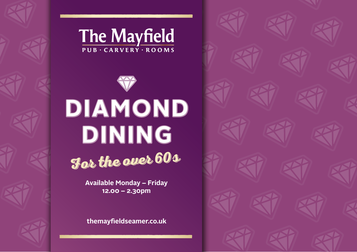



**Available Monday – Friday 12.00 – 2.30pm**

**themayfieldseamer.co.uk**